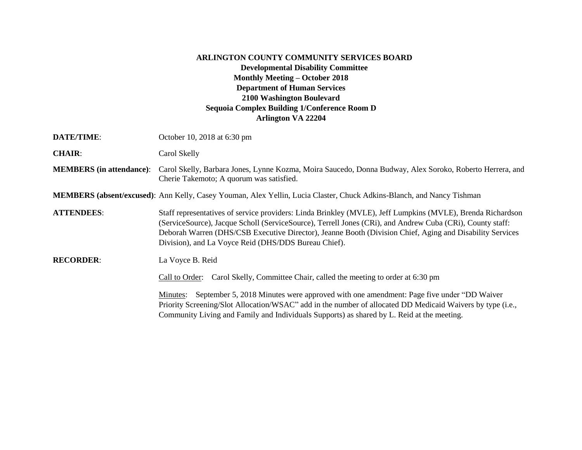## **ARLINGTON COUNTY COMMUNITY SERVICES BOARD Developmental Disability Committee Monthly Meeting – October 2018 Department of Human Services 2100 Washington Boulevard Sequoia Complex Building 1/Conference Room D Arlington VA 22204**

| <b>DATE/TIME:</b>               | October 10, 2018 at 6:30 pm                                                                                                                                                                                                                                                                                                                                                                 |
|---------------------------------|---------------------------------------------------------------------------------------------------------------------------------------------------------------------------------------------------------------------------------------------------------------------------------------------------------------------------------------------------------------------------------------------|
| <b>CHAIR:</b>                   | Carol Skelly                                                                                                                                                                                                                                                                                                                                                                                |
| <b>MEMBERS</b> (in attendance): | Carol Skelly, Barbara Jones, Lynne Kozma, Moira Saucedo, Donna Budway, Alex Soroko, Roberto Herrera, and<br>Cherie Takemoto; A quorum was satisfied.                                                                                                                                                                                                                                        |
|                                 | <b>MEMBERS</b> (absent/excused): Ann Kelly, Casey Youman, Alex Yellin, Lucia Claster, Chuck Adkins-Blanch, and Nancy Tishman                                                                                                                                                                                                                                                                |
| <b>ATTENDEES:</b>               | Staff representatives of service providers: Linda Brinkley (MVLE), Jeff Lumpkins (MVLE), Brenda Richardson<br>(ServiceSource), Jacque Scholl (ServiceSource), Terrell Jones (CRi), and Andrew Cuba (CRi), County staff:<br>Deborah Warren (DHS/CSB Executive Director), Jeanne Booth (Division Chief, Aging and Disability Services<br>Division), and La Voyce Reid (DHS/DDS Bureau Chief). |
| <b>RECORDER:</b>                | La Voyce B. Reid<br>Carol Skelly, Committee Chair, called the meeting to order at 6:30 pm<br>Call to Order:                                                                                                                                                                                                                                                                                 |
|                                 | September 5, 2018 Minutes were approved with one amendment: Page five under "DD Waiver<br>Minutes:<br>Priority Screening/Slot Allocation/WSAC" add in the number of allocated DD Medicaid Waivers by type (i.e.,<br>Community Living and Family and Individuals Supports) as shared by L. Reid at the meeting.                                                                              |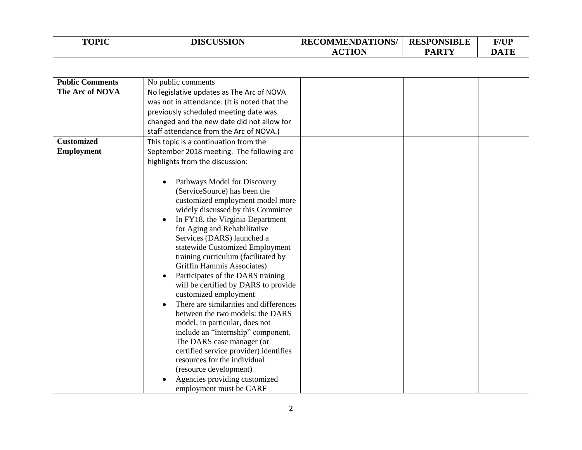| <b>TOPIC</b> | <b>DISCUSSION</b> | <b>RECOMMENDATIONS/</b> | <b>RESPONSIBLE</b> | <b>F/UP</b> |
|--------------|-------------------|-------------------------|--------------------|-------------|
|              |                   | CTION<br>AU             | <b>PARTY</b>       | DATE        |

| <b>Public Comments</b> | No public comments                                              |  |  |
|------------------------|-----------------------------------------------------------------|--|--|
| The Arc of NOVA        | No legislative updates as The Arc of NOVA                       |  |  |
|                        | was not in attendance. (It is noted that the                    |  |  |
|                        | previously scheduled meeting date was                           |  |  |
|                        | changed and the new date did not allow for                      |  |  |
|                        | staff attendance from the Arc of NOVA.)                         |  |  |
| <b>Customized</b>      | This topic is a continuation from the                           |  |  |
| <b>Employment</b>      | September 2018 meeting. The following are                       |  |  |
|                        | highlights from the discussion:                                 |  |  |
|                        |                                                                 |  |  |
|                        | Pathways Model for Discovery                                    |  |  |
|                        | (ServiceSource) has been the                                    |  |  |
|                        | customized employment model more                                |  |  |
|                        | widely discussed by this Committee                              |  |  |
|                        | In FY18, the Virginia Department<br>$\bullet$                   |  |  |
|                        | for Aging and Rehabilitative                                    |  |  |
|                        | Services (DARS) launched a                                      |  |  |
|                        | statewide Customized Employment                                 |  |  |
|                        | training curriculum (facilitated by                             |  |  |
|                        | Griffin Hammis Associates)                                      |  |  |
|                        | Participates of the DARS training<br>$\bullet$                  |  |  |
|                        | will be certified by DARS to provide                            |  |  |
|                        | customized employment<br>There are similarities and differences |  |  |
|                        | $\bullet$<br>between the two models: the DARS                   |  |  |
|                        | model, in particular, does not                                  |  |  |
|                        | include an "internship" component.                              |  |  |
|                        | The DARS case manager (or                                       |  |  |
|                        | certified service provider) identifies                          |  |  |
|                        | resources for the individual                                    |  |  |
|                        | (resource development)                                          |  |  |
|                        | Agencies providing customized                                   |  |  |
|                        | employment must be CARF                                         |  |  |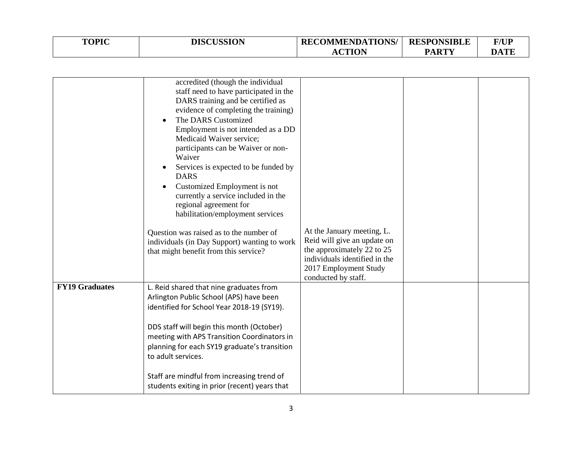| <b>TOPIC</b> | <b>DISCUSSION</b> | <b>RECOMMENDATIONS/</b> | <b>RESPONSIBLE</b> | <b>F/UP</b> |
|--------------|-------------------|-------------------------|--------------------|-------------|
|              |                   | <b>ACTION</b>           | <b>PARTY</b>       | <b>DATE</b> |

|                       | accredited (though the individual<br>staff need to have participated in the        |                               |  |
|-----------------------|------------------------------------------------------------------------------------|-------------------------------|--|
|                       | DARS training and be certified as                                                  |                               |  |
|                       | evidence of completing the training)                                               |                               |  |
|                       | The DARS Customized                                                                |                               |  |
|                       | Employment is not intended as a DD                                                 |                               |  |
|                       | Medicaid Waiver service;                                                           |                               |  |
|                       | participants can be Waiver or non-                                                 |                               |  |
|                       | Waiver                                                                             |                               |  |
|                       | Services is expected to be funded by<br><b>DARS</b>                                |                               |  |
|                       | Customized Employment is not<br>$\bullet$                                          |                               |  |
|                       | currently a service included in the                                                |                               |  |
|                       | regional agreement for                                                             |                               |  |
|                       | habilitation/employment services                                                   |                               |  |
|                       | Question was raised as to the number of                                            | At the January meeting, L.    |  |
|                       | individuals (in Day Support) wanting to work                                       | Reid will give an update on   |  |
|                       | that might benefit from this service?                                              | the approximately 22 to 25    |  |
|                       |                                                                                    | individuals identified in the |  |
|                       |                                                                                    | 2017 Employment Study         |  |
| <b>FY19 Graduates</b> |                                                                                    | conducted by staff.           |  |
|                       | L. Reid shared that nine graduates from<br>Arlington Public School (APS) have been |                               |  |
|                       | identified for School Year 2018-19 (SY19).                                         |                               |  |
|                       |                                                                                    |                               |  |
|                       | DDS staff will begin this month (October)                                          |                               |  |
|                       | meeting with APS Transition Coordinators in                                        |                               |  |
|                       | planning for each SY19 graduate's transition                                       |                               |  |
|                       | to adult services.                                                                 |                               |  |
|                       |                                                                                    |                               |  |
|                       | Staff are mindful from increasing trend of                                         |                               |  |
|                       | students exiting in prior (recent) years that                                      |                               |  |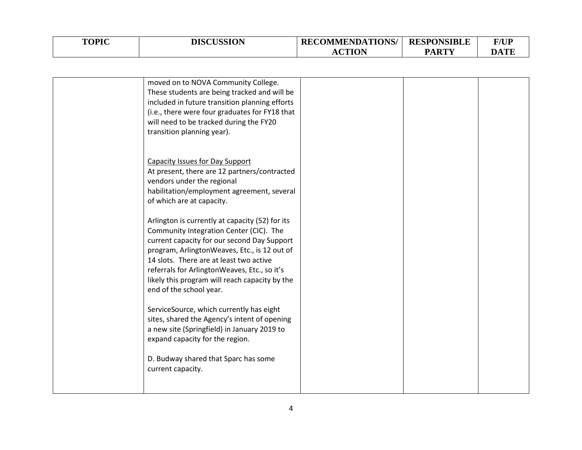| <b>TOPIC</b> | <b>DISCUSSION</b> | <b>RECOMMENDATIONS/</b> | <b>RESPONSIBLE</b> | F/UP |
|--------------|-------------------|-------------------------|--------------------|------|
|              |                   | <b>CTION</b><br>AU.     | <b>PARTY</b>       | DATE |

| moved on to NOVA Community College.<br>These students are being tracked and will be<br>included in future transition planning efforts<br>(i.e., there were four graduates for FY18 that<br>will need to be tracked during the FY20<br>transition planning year).                                                                                                  |  |  |
|-------------------------------------------------------------------------------------------------------------------------------------------------------------------------------------------------------------------------------------------------------------------------------------------------------------------------------------------------------------------|--|--|
| <b>Capacity Issues for Day Support</b><br>At present, there are 12 partners/contracted<br>vendors under the regional<br>habilitation/employment agreement, several<br>of which are at capacity.                                                                                                                                                                   |  |  |
| Arlington is currently at capacity (52) for its<br>Community Integration Center (CIC). The<br>current capacity for our second Day Support<br>program, ArlingtonWeaves, Etc., is 12 out of<br>14 slots. There are at least two active<br>referrals for ArlingtonWeaves, Etc., so it's<br>likely this program will reach capacity by the<br>end of the school year. |  |  |
| ServiceSource, which currently has eight<br>sites, shared the Agency's intent of opening<br>a new site (Springfield) in January 2019 to<br>expand capacity for the region.                                                                                                                                                                                        |  |  |
| D. Budway shared that Sparc has some<br>current capacity.                                                                                                                                                                                                                                                                                                         |  |  |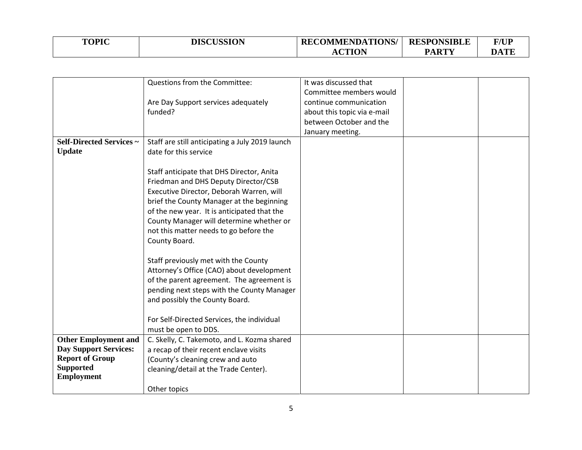| <b>TOPIC</b> | <b>DISCUSSION</b> | <b>RECOMMENDATIONS/</b> | <b>RESPONSIBLE</b> | <b>F/UP</b> |
|--------------|-------------------|-------------------------|--------------------|-------------|
|              |                   | $\alpha$ ttan           | <b>PARTY</b>       | DATE        |

|                                 | Questions from the Committee:                   | It was discussed that       |  |
|---------------------------------|-------------------------------------------------|-----------------------------|--|
|                                 |                                                 | Committee members would     |  |
|                                 | Are Day Support services adequately             | continue communication      |  |
|                                 | funded?                                         | about this topic via e-mail |  |
|                                 |                                                 | between October and the     |  |
|                                 |                                                 | January meeting.            |  |
| <b>Self-Directed Services ~</b> | Staff are still anticipating a July 2019 launch |                             |  |
|                                 |                                                 |                             |  |
| <b>Update</b>                   | date for this service                           |                             |  |
|                                 |                                                 |                             |  |
|                                 | Staff anticipate that DHS Director, Anita       |                             |  |
|                                 | Friedman and DHS Deputy Director/CSB            |                             |  |
|                                 | Executive Director, Deborah Warren, will        |                             |  |
|                                 | brief the County Manager at the beginning       |                             |  |
|                                 | of the new year. It is anticipated that the     |                             |  |
|                                 | County Manager will determine whether or        |                             |  |
|                                 | not this matter needs to go before the          |                             |  |
|                                 | County Board.                                   |                             |  |
|                                 |                                                 |                             |  |
|                                 | Staff previously met with the County            |                             |  |
|                                 | Attorney's Office (CAO) about development       |                             |  |
|                                 | of the parent agreement. The agreement is       |                             |  |
|                                 | pending next steps with the County Manager      |                             |  |
|                                 |                                                 |                             |  |
|                                 | and possibly the County Board.                  |                             |  |
|                                 | For Self-Directed Services, the individual      |                             |  |
|                                 | must be open to DDS.                            |                             |  |
| <b>Other Employment and</b>     |                                                 |                             |  |
|                                 | C. Skelly, C. Takemoto, and L. Kozma shared     |                             |  |
| <b>Day Support Services:</b>    | a recap of their recent enclave visits          |                             |  |
| <b>Report of Group</b>          | (County's cleaning crew and auto                |                             |  |
| <b>Supported</b>                | cleaning/detail at the Trade Center).           |                             |  |
| <b>Employment</b>               |                                                 |                             |  |
|                                 | Other topics                                    |                             |  |